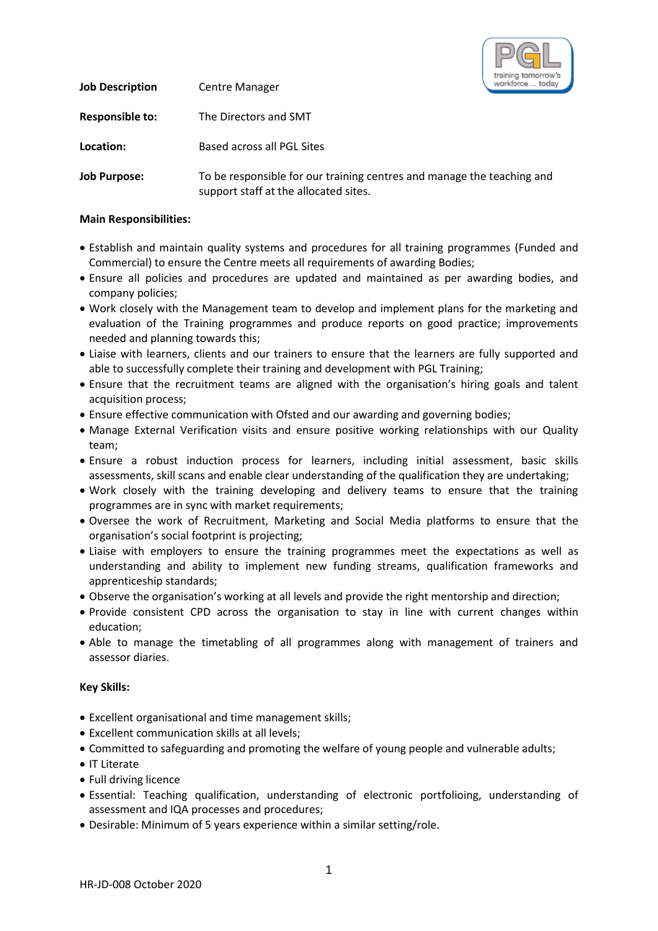

| <b>Job Description</b> | <b>Centre Manager</b>                                                                                           | workforce  toda |
|------------------------|-----------------------------------------------------------------------------------------------------------------|-----------------|
| <b>Responsible to:</b> | The Directors and SMT                                                                                           |                 |
| Location:              | Based across all PGL Sites                                                                                      |                 |
| <b>Job Purpose:</b>    | To be responsible for our training centres and manage the teaching and<br>support staff at the allocated sites. |                 |

## **Main Responsibilities:**

- Establish and maintain quality systems and procedures for all training programmes (Funded and Commercial) to ensure the Centre meets all requirements of awarding Bodies;
- Ensure all policies and procedures are updated and maintained as per awarding bodies, and company policies;
- Work closely with the Management team to develop and implement plans for the marketing and evaluation of the Training programmes and produce reports on good practice; improvements needed and planning towards this;
- Liaise with learners, clients and our trainers to ensure that the learners are fully supported and able to successfully complete their training and development with PGL Training;
- Ensure that the recruitment teams are aligned with the organisation's hiring goals and talent acquisition process;
- Ensure effective communication with Ofsted and our awarding and governing bodies;
- Manage External Verification visits and ensure positive working relationships with our Quality team;
- Ensure a robust induction process for learners, including initial assessment, basic skills assessments, skill scans and enable clear understanding of the qualification they are undertaking;
- Work closely with the training developing and delivery teams to ensure that the training programmes are in sync with market requirements;
- Oversee the work of Recruitment, Marketing and Social Media platforms to ensure that the organisation's social footprint is projecting;
- Liaise with employers to ensure the training programmes meet the expectations as well as understanding and ability to implement new funding streams, qualification frameworks and apprenticeship standards;
- Observe the organisation's working at all levels and provide the right mentorship and direction;
- Provide consistent CPD across the organisation to stay in line with current changes within education;
- Able to manage the timetabling of all programmes along with management of trainers and assessor diaries.

## **Key Skills:**

- Excellent organisational and time management skills;
- Excellent communication skills at all levels;
- Committed to safeguarding and promoting the welfare of young people and vulnerable adults;
- IT Literate
- Full driving licence
- Essential: Teaching qualification, understanding of electronic portfolioing, understanding of assessment and IQA processes and procedures;
- Desirable: Minimum of 5 years experience within a similar setting/role.